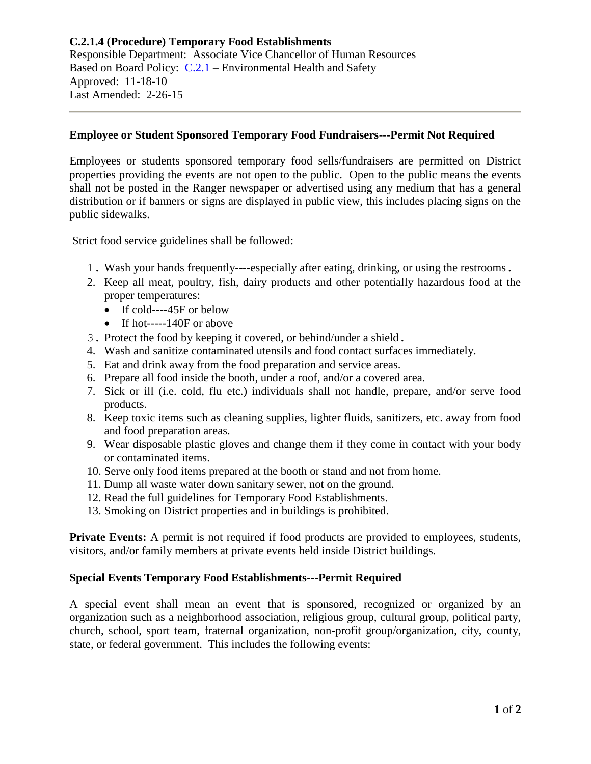**C.2.1.4 (Procedure) Temporary Food Establishments** Responsible Department: Associate Vice Chancellor of Human Resources Based on Board Policy: [C.2.1](https://www.alamo.edu/siteassets/district/about-us/leadership/board-of-trustees/policies-pdfs/section-c/c.2.1-policy.pdf) – Environmental Health and Safety Approved: 11-18-10 Last Amended: 2-26-15

## **Employee or Student Sponsored Temporary Food Fundraisers---Permit Not Required**

Employees or students sponsored temporary food sells/fundraisers are permitted on District properties providing the events are not open to the public. Open to the public means the events shall not be posted in the Ranger newspaper or advertised using any medium that has a general distribution or if banners or signs are displayed in public view, this includes placing signs on the public sidewalks.

Strict food service guidelines shall be followed:

- 1. Wash your hands frequently----especially after eating, drinking, or using the restrooms**.**
- 2. Keep all meat, poultry, fish, dairy products and other potentially hazardous food at the proper temperatures:
	- $\bullet$  If cold----45F or below
	- If hot-----140F or above
- 3. Protect the food by keeping it covered, or behind/under a shield.
- 4. Wash and sanitize contaminated utensils and food contact surfaces immediately.
- 5. Eat and drink away from the food preparation and service areas.
- 6. Prepare all food inside the booth, under a roof, and/or a covered area.
- 7. Sick or ill (i.e. cold, flu etc.) individuals shall not handle, prepare, and/or serve food products.
- 8. Keep toxic items such as cleaning supplies, lighter fluids, sanitizers, etc. away from food and food preparation areas.
- 9. Wear disposable plastic gloves and change them if they come in contact with your body or contaminated items.
- 10. Serve only food items prepared at the booth or stand and not from home.
- 11. Dump all waste water down sanitary sewer, not on the ground.
- 12. Read the full guidelines for Temporary Food Establishments.
- 13. Smoking on District properties and in buildings is prohibited.

**Private Events:** A permit is not required if food products are provided to employees, students, visitors, and/or family members at private events held inside District buildings.

## **Special Events Temporary Food Establishments---Permit Required**

A special event shall mean an event that is sponsored, recognized or organized by an organization such as a neighborhood association, religious group, cultural group, political party, church, school, sport team, fraternal organization, non-profit group/organization, city, county, state, or federal government. This includes the following events: